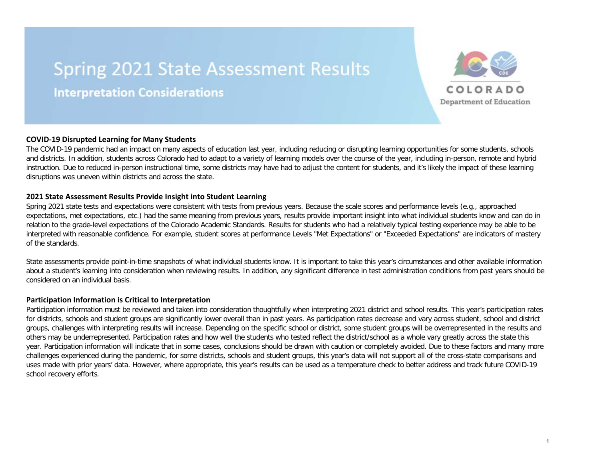# **Spring 2021 State Assessment Results**

**Interpretation Considerations** 



The COVID-19 pandemic had an impact on many aspects of education last year, including reducing or disrupting learning opportunities for some students, schools and districts. In addition, students across Colorado had to adapt to a variety of learning models over the course of the year, including in-person, remote and hybrid instruction. Due to reduced in-person instructional time, some districts may have had to adjust the content for students, and it's likely the impact of these learning disruptions was uneven within districts and across the state.

### **2021 State Assessment Results Provide Insight into Student Learning**

Spring 2021 state tests and expectations were consistent with tests from previous years. Because the scale scores and performance levels (e.g., approached expectations, met expectations, etc.) had the same meaning from previous years, results provide important insight into what individual students know and can do in relation to the grade-level expectations of the Colorado Academic Standards. Results for students who had a relatively typical testing experience may be able to be interpreted with reasonable confidence. For example, student scores at performance Levels "Met Expectations" or "Exceeded Expectations" are indicators of mastery of the standards.

State assessments provide point-in-time snapshots of what individual students know. It is important to take this year's circumstances and other available information about a student's learning into consideration when reviewing results. In addition, any significant difference in test administration conditions from past years should be considered on an individual basis.

### **Participation Information is Critical to Interpretation**

Participation information must be reviewed and taken into consideration thoughtfully when interpreting 2021 district and school results. This year's participation rates for districts, schools and student groups are significantly lower overall than in past years. As participation rates decrease and vary across student, school and district groups, challenges with interpreting results will increase. Depending on the specific school or district, some student groups will be overrepresented in the results and others may be underrepresented. Participation rates and how well the students who tested reflect the district/school as a whole vary greatly across the state this year. Participation information will indicate that in some cases, conclusions should be drawn with caution or completely avoided. Due to these factors and many more challenges experienced during the pandemic, for some districts, schools and student groups, this year's data will not support all of the cross-state comparisons and uses made with prior years' data. However, where appropriate, this year's results can be used as a temperature check to better address and track future COVID-19 school recovery efforts.

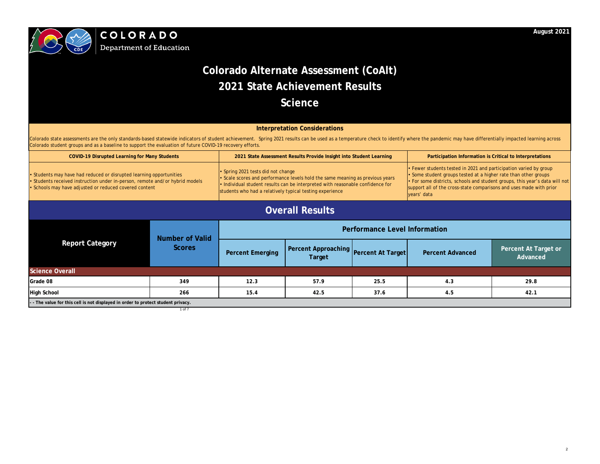

**Department of Education** 

1 of 7

Colorado state assessments are the only standards-based statewide indicators of student achievement. Spring 2021 results can be used as a temperature check to identify where the pandemic may have differentially impacted le Colorado student groups and as a baseline to support the evaluation of future COVID-19 recovery efforts.

| <b>COVID-19 Disrupted Learning for Many Students</b>                                                                                                                                                          |                                         | 2021 State Assessment Results Provide Insight into Student Learning                                                                                                                                                                                           |                                                 | Participation Information is Critical to Interpretations |                                                                                                                                                                                                                                                                                                         |                                  |
|---------------------------------------------------------------------------------------------------------------------------------------------------------------------------------------------------------------|-----------------------------------------|---------------------------------------------------------------------------------------------------------------------------------------------------------------------------------------------------------------------------------------------------------------|-------------------------------------------------|----------------------------------------------------------|---------------------------------------------------------------------------------------------------------------------------------------------------------------------------------------------------------------------------------------------------------------------------------------------------------|----------------------------------|
| • Students may have had reduced or disrupted learning opportunities<br>• Students received instruction under in-person, remote and/or hybrid models<br>• Schools may have adjusted or reduced covered content |                                         | • Spring 2021 tests did not change<br>Scale scores and performance levels hold the same meaning as previous years<br>Individual student results can be interpreted with reasonable confidence for<br>students who had a relatively typical testing experience |                                                 |                                                          | • Fewer students tested in 2021 and participation varied by group<br>Some student groups tested at a higher rate than other groups<br>• For some districts, schools and student groups, this year's data will not<br>support all of the cross-state comparisons and uses made with prior<br>vears' data |                                  |
| <b>Overall Results</b>                                                                                                                                                                                        |                                         |                                                                                                                                                                                                                                                               |                                                 |                                                          |                                                                                                                                                                                                                                                                                                         |                                  |
| <b>Report Category</b>                                                                                                                                                                                        | <b>Number of Valid</b><br><b>Scores</b> | <b>Performance Level Information</b>                                                                                                                                                                                                                          |                                                 |                                                          |                                                                                                                                                                                                                                                                                                         |                                  |
|                                                                                                                                                                                                               |                                         | <b>Percent Emerging</b>                                                                                                                                                                                                                                       | Percent Approaching Percent At Target<br>Target |                                                          | <b>Percent Advanced</b>                                                                                                                                                                                                                                                                                 | Percent At Target or<br>Advanced |
| <b>Science Overall</b>                                                                                                                                                                                        |                                         |                                                                                                                                                                                                                                                               |                                                 |                                                          |                                                                                                                                                                                                                                                                                                         |                                  |
| Grade 08                                                                                                                                                                                                      | 349                                     | 12.3                                                                                                                                                                                                                                                          | 57.9                                            | 25.5                                                     | 4.3                                                                                                                                                                                                                                                                                                     | 29.8                             |
| <b>High School</b>                                                                                                                                                                                            | 266                                     | 15.4                                                                                                                                                                                                                                                          | 42.5                                            | 37.6                                                     | 4.5                                                                                                                                                                                                                                                                                                     | 42.1                             |
| - - The value for this cell is not displayed in order to protect student privacy.                                                                                                                             |                                         |                                                                                                                                                                                                                                                               |                                                 |                                                          |                                                                                                                                                                                                                                                                                                         |                                  |

## **August 2021**

# **Colorado Alternate Assessment (CoAlt) 2021 State Achievement Results Science**

## **Interpretation Considerations**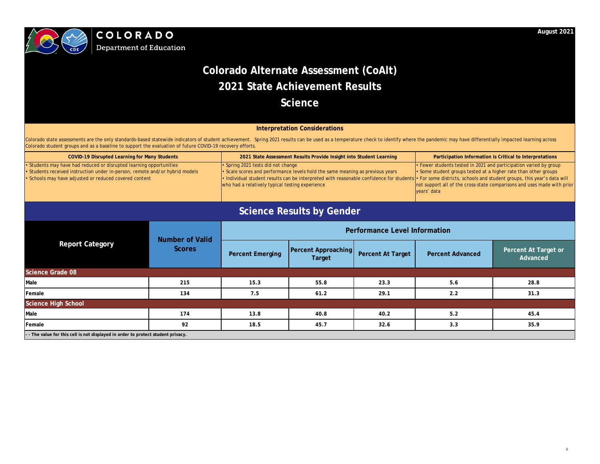

| <b>COVID-19 Disrupted Learning for Many Students</b>                         | 2021 State Assessment Results Provide Insight into Student Learning                                                                                               | Participation Information is Critical to Interpretations                |
|------------------------------------------------------------------------------|-------------------------------------------------------------------------------------------------------------------------------------------------------------------|-------------------------------------------------------------------------|
| • Students may have had reduced or disrupted learning opportunities          | $\cdot$ Spring 2021 tests did not change                                                                                                                          | $\cdot$ Fewer students tested in 2021 and participation varied by group |
| • Students received instruction under in-person, remote and/or hybrid models | Scale scores and performance levels hold the same meaning as previous years                                                                                       | $\cdot$ Some student groups tested at a higher rate than other groups   |
| • Schools may have adjusted or reduced covered content                       | Iom Individual student results can be interpreted with reasonable confidence for students • For some districts, schools and student groups, this year's data will |                                                                         |
|                                                                              | who had a relatively typical testing experience                                                                                                                   | not support all of the cross-state comparisons and uses made with prior |
|                                                                              |                                                                                                                                                                   | vears' data                                                             |
|                                                                              |                                                                                                                                                                   |                                                                         |

| <b>Report Category</b>                                                            | <b>Number of Valid</b> | <b>Performance Level Information</b> |                                      |                          |                         |                                  |  |
|-----------------------------------------------------------------------------------|------------------------|--------------------------------------|--------------------------------------|--------------------------|-------------------------|----------------------------------|--|
|                                                                                   | <b>Scores</b>          | <b>Percent Emerging</b>              | <b>Percent Approaching</b><br>Target | <b>Percent At Target</b> | <b>Percent Advanced</b> | Percent At Target or<br>Advanced |  |
| <b>Science Grade 08</b>                                                           |                        |                                      |                                      |                          |                         |                                  |  |
| Male                                                                              | 215                    | 15.3                                 | 55.8                                 | 23.3                     | 5.6                     | 28.8                             |  |
| Female                                                                            | 134                    | 7.5                                  | 61.2                                 | 29.1                     | 2.2                     | 31.3                             |  |
| <b>Science High School</b>                                                        |                        |                                      |                                      |                          |                         |                                  |  |
| Male                                                                              | 174                    | 13.8                                 | 40.8                                 | 40.2                     | 5.2                     | 45.4                             |  |
| Female                                                                            | 92                     | 18.5                                 | 45.7                                 | 32.6                     | 3.3                     | 35.9                             |  |
| - - The value for this cell is not displayed in order to protect student privacy. |                        |                                      |                                      |                          |                         |                                  |  |

Colorado state assessments are the only standards-based statewide indicators of student achievement. Spring 2021 results can be used as a temperature check to identify where the pandemic may have differentially impacted le Colorado student groups and as a baseline to support the evaluation of future COVID-19 recovery efforts.

## **August 2021**

# **Colorado Alternate Assessment (CoAlt) 2021 State Achievement Results Science**

## **Interpretation Considerations**

# **Science Results by Gender**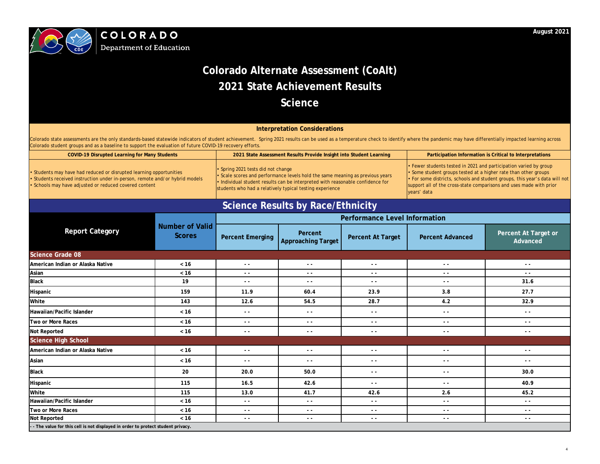

**Department of Education** 

|                                                                                   |                                         | <b>Performance Level Information</b> |                                      |                          |                         |                                  |  |
|-----------------------------------------------------------------------------------|-----------------------------------------|--------------------------------------|--------------------------------------|--------------------------|-------------------------|----------------------------------|--|
| <b>Report Category</b>                                                            | <b>Number of Valid</b><br><b>Scores</b> | <b>Percent Emerging</b>              | Percent<br><b>Approaching Target</b> | <b>Percent At Target</b> | <b>Percent Advanced</b> | Percent At Target or<br>Advanced |  |
| <b>Science Grade 08</b>                                                           |                                         |                                      |                                      |                          |                         |                                  |  |
| American Indian or Alaska Native                                                  | $<16$                                   | $\sim$ $\sim$                        | $\sim$ $\sim$                        | $\sim$ $\sim$            | $\sim$ $\sim$           | $\sim$ $\sim$                    |  |
| Asian                                                                             | $< 16$                                  | $\sim$ $\sim$                        | $\sim$ $\sim$                        | $ -$                     | $\sim$ $\sim$           | $\sim$ $\sim$                    |  |
| <b>Black</b>                                                                      | 19                                      | $\sim$ $\sim$                        | $\sim$ $\sim$                        | $ -$                     | $\sim$ $\sim$           | 31.6                             |  |
| Hispanic                                                                          | 159                                     | 11.9                                 | 60.4                                 | 23.9                     | 3.8                     | 27.7                             |  |
| White                                                                             | 143                                     | 12.6                                 | 54.5                                 | 28.7                     | 4.2                     | 32.9                             |  |
| Hawaiian/Pacific Islander                                                         | $< 16$                                  | $\sim$ $\sim$                        | $ -$                                 | $ -$                     | $ -$                    | $- -$                            |  |
| Two or More Races                                                                 | $< 16$                                  | $\sim$ $\sim$                        | $\sim$ $\sim$                        | $\sim$ $\sim$            | $\sim$ $\sim$           | $\sim$ $\sim$                    |  |
| <b>Not Reported</b>                                                               | $< 16$                                  | $\sim$ $\sim$                        | $\sim$ $\sim$                        | $\sim$ $\sim$            | $\sim$ $\sim$           | $\sim$ $\sim$                    |  |
| <b>Science High School</b>                                                        |                                         |                                      |                                      |                          |                         |                                  |  |
| American Indian or Alaska Native                                                  | $< 16$                                  | $ -$                                 | $ -$                                 | $ -$                     | $\sim$ $\sim$           | $\sim$ $\sim$                    |  |
| Asian                                                                             | $< 16$                                  | $\sim$ $\sim$                        | $ -$                                 | $ -$                     | $\sim$ $\sim$           | $ -$                             |  |
| <b>Black</b>                                                                      | 20                                      | 20.0                                 | 50.0                                 | $- -$                    | $ -$                    | 30.0                             |  |
| Hispanic                                                                          | 115                                     | 16.5                                 | 42.6                                 | $ -$                     | $ -$                    | 40.9                             |  |
| White                                                                             | 115                                     | 13.0                                 | 41.7                                 | 42.6                     | 2.6                     | 45.2                             |  |
| Hawaiian/Pacific Islander                                                         | $< 16$                                  | $\sim$ $\sim$                        | $ -$                                 | $\sim$ $\sim$            | $ -$                    | $\sim$ $\sim$                    |  |
| Two or More Races                                                                 | $<16$                                   | $\sim$ $\sim$                        | $\sim$ $\sim$                        | $\sim$ $\sim$            | $ -$                    | $\sim$ $\sim$                    |  |
| <b>Not Reported</b>                                                               | $< 16$                                  | $\sim$ $\sim$                        | $ -$                                 | $\sim$ $\sim$            | $\sim$ $\sim$           | $ -$                             |  |
| - - The value for this cell is not displayed in order to protect student privacy. |                                         |                                      |                                      |                          |                         |                                  |  |

• Fewer students tested in 2021 and participation varied by group

• Some student groups tested at a higher rate than other groups

Colorado state assessments are the only standards-based statewide indicators of student achievement. Spring 2021 results can be used as a temperature check to identify where the pandemic may have differentially impacted le Colorado student groups and as a baseline to support the evaluation of future COVID-19 recovery efforts.

> • For some districts, schools and student groups, this year's data will not support all of the cross-state comparisons and uses made with prior years' data

## **August 2021**

### **Participation Information is Critical to Interpretations**

# **Colorado Alternate Assessment (CoAlt) 2021 State Achievement Results Science**

## **Interpretation Considerations**

# **Science Results by Race/Ethnicity**

| <b>COVID-19 Disrupted Learning for Many Students</b>                                                                                                                                                          | 2021 State Assessment Results Provide Insight into Student Learning                                                                                                                                                                                                     |
|---------------------------------------------------------------------------------------------------------------------------------------------------------------------------------------------------------------|-------------------------------------------------------------------------------------------------------------------------------------------------------------------------------------------------------------------------------------------------------------------------|
| • Students may have had reduced or disrupted learning opportunities<br>• Students received instruction under in-person, remote and/or hybrid models<br>• Schools may have adjusted or reduced covered content | $\cdot$ Spring 2021 tests did not change<br>• Scale scores and performance levels hold the same meaning as previous years<br>• Individual student results can be interpreted with reasonable confidence for<br>students who had a relatively typical testing experience |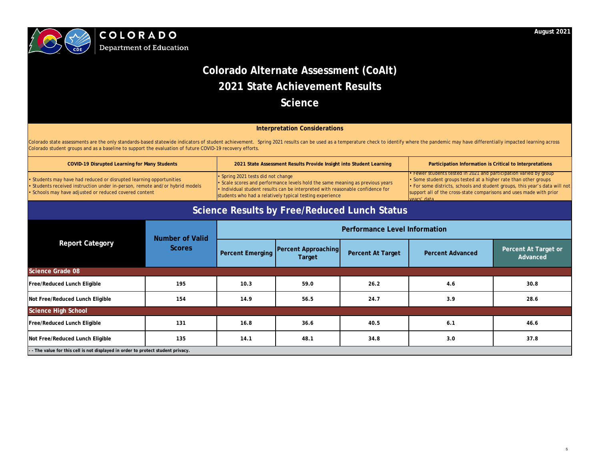

**Department of Education** 

## **August 2021**

Colorado state assessments are the only standards-based statewide indicators of student achievement. Spring 2021 results can be used as a temperature check to identify where the pandemic may have differentially impacted le Colorado student groups and as a baseline to support the evaluation of future COVID-19 recovery efforts.

# **Colorado Alternate Assessment (CoAlt) 2021 State Achievement Results Science**

## **Interpretation Considerations**

| <b>COVID-19 Disrupted Learning for Many Students</b>                                                                                                                                                          |                        |                                                                                                                                                                                                                                                                 | 2021 State Assessment Results Provide Insight into Student Learning |                                              | Participation Information is Critical to Interpretations                                                                                                                                                                                                                                                  |                                  |
|---------------------------------------------------------------------------------------------------------------------------------------------------------------------------------------------------------------|------------------------|-----------------------------------------------------------------------------------------------------------------------------------------------------------------------------------------------------------------------------------------------------------------|---------------------------------------------------------------------|----------------------------------------------|-----------------------------------------------------------------------------------------------------------------------------------------------------------------------------------------------------------------------------------------------------------------------------------------------------------|----------------------------------|
| • Students may have had reduced or disrupted learning opportunities<br>• Students received instruction under in-person, remote and/or hybrid models<br>• Schools may have adjusted or reduced covered content |                        | • Spring 2021 tests did not change<br>Scale scores and performance levels hold the same meaning as previous years<br>· Individual student results can be interpreted with reasonable confidence for<br>students who had a relatively typical testing experience |                                                                     |                                              | • Fewer students tested in 2021 and participation varied by group<br>• Some student groups tested at a higher rate than other groups<br>. For some districts, schools and student groups, this year's data will not<br>support all of the cross-state comparisons and uses made with prior<br>vears' data |                                  |
|                                                                                                                                                                                                               |                        |                                                                                                                                                                                                                                                                 |                                                                     | Science Results by Free/Reduced Lunch Status |                                                                                                                                                                                                                                                                                                           |                                  |
|                                                                                                                                                                                                               | <b>Number of Valid</b> | <b>Performance Level Information</b>                                                                                                                                                                                                                            |                                                                     |                                              |                                                                                                                                                                                                                                                                                                           |                                  |
| <b>Report Category</b>                                                                                                                                                                                        | <b>Scores</b>          | <b>Percent Emerging</b>                                                                                                                                                                                                                                         | <b>Percent Approaching</b><br>Target                                | <b>Percent At Target</b>                     | <b>Percent Advanced</b>                                                                                                                                                                                                                                                                                   | Percent At Target or<br>Advanced |
| <b>Science Grade 08</b>                                                                                                                                                                                       |                        |                                                                                                                                                                                                                                                                 |                                                                     |                                              |                                                                                                                                                                                                                                                                                                           |                                  |
| <b>Free/Reduced Lunch Eligible</b>                                                                                                                                                                            | 195                    | 10.3                                                                                                                                                                                                                                                            | 59.0                                                                | 26.2                                         | 4.6                                                                                                                                                                                                                                                                                                       | 30.8                             |
| Not Free/Reduced Lunch Eligible                                                                                                                                                                               | 154                    | 14.9                                                                                                                                                                                                                                                            | 56.5                                                                | 24.7                                         | 3.9                                                                                                                                                                                                                                                                                                       | 28.6                             |
| <b>Science High School</b>                                                                                                                                                                                    |                        |                                                                                                                                                                                                                                                                 |                                                                     |                                              |                                                                                                                                                                                                                                                                                                           |                                  |
| <b>Free/Reduced Lunch Eligible</b>                                                                                                                                                                            | 131                    | 16.8                                                                                                                                                                                                                                                            | 36.6                                                                | 40.5                                         | 6.1                                                                                                                                                                                                                                                                                                       | 46.6                             |
| Not Free/Reduced Lunch Eligible                                                                                                                                                                               | 135                    | 14.1                                                                                                                                                                                                                                                            | 48.1                                                                | 34.8                                         | 3.0                                                                                                                                                                                                                                                                                                       | 37.8                             |
| - - The value for this cell is not displayed in order to protect student privacy.                                                                                                                             |                        |                                                                                                                                                                                                                                                                 |                                                                     |                                              |                                                                                                                                                                                                                                                                                                           |                                  |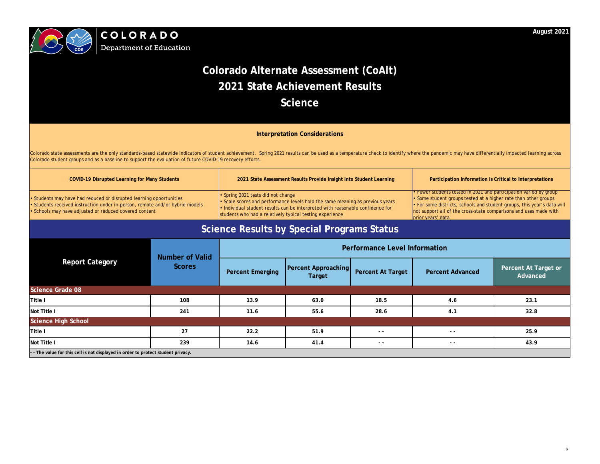



# **Department of Education**

• Fewer students tested in 2021 and participation varied by group • Some student groups tested at a higher rate than other groups • For some districts, schools and student groups, this year's data will not support all of the cross-state comparisons and uses made with prior years' data

| <b>Report Category</b>                                                            | <b>Number of Valid</b> | <b>Performance Level Information</b> |                                             |                          |                         |                                  |  |
|-----------------------------------------------------------------------------------|------------------------|--------------------------------------|---------------------------------------------|--------------------------|-------------------------|----------------------------------|--|
|                                                                                   | <b>Scores</b>          | <b>Percent Emerging</b>              | <b>Percent Approaching</b><br><b>Target</b> | <b>Percent At Target</b> | <b>Percent Advanced</b> | Percent At Target or<br>Advanced |  |
| <b>Science Grade 08</b>                                                           |                        |                                      |                                             |                          |                         |                                  |  |
| Title I                                                                           | 108                    | 13.9                                 | 63.0                                        | 18.5                     | 4.6                     | 23.1                             |  |
| Not Title I                                                                       | 241                    | 11.6                                 | 55.6                                        | 28.6                     | 4.1                     | 32.8                             |  |
| <b>Science High School</b>                                                        |                        |                                      |                                             |                          |                         |                                  |  |
| Title I                                                                           | 27                     | 22.2                                 | 51.9                                        | $ -$                     | $ -$                    | 25.9                             |  |
| Not Title I                                                                       | 239                    | 14.6                                 | 41.4                                        | $- -$                    | $- -$                   | 43.9                             |  |
| - - The value for this cell is not displayed in order to protect student privacy. |                        |                                      |                                             |                          |                         |                                  |  |

## **August 2021**

## Participation Information is Critical to Interpretations

# **Colorado Alternate Assessment (CoAlt) 2021 State Achievement Results Science**

Colorado state assessments are the only standards-based statewide indicators of student achievement. Spring 2021 results can be used as a temperature check to identify where the pandemic may have differentially impacted le Colorado student groups and as a baseline to support the evaluation of future COVID-19 recovery efforts.

# **Interpretation Considerations**

# **Science Results by Special Programs Status**

| <b>COVID-19 Disrupted Learning for Many Students</b>                                                                                                                                                          | 2021 State Assessment Results Provide Insight into Student Learning                                                                                                                                                                                                           |
|---------------------------------------------------------------------------------------------------------------------------------------------------------------------------------------------------------------|-------------------------------------------------------------------------------------------------------------------------------------------------------------------------------------------------------------------------------------------------------------------------------|
| • Students may have had reduced or disrupted learning opportunities<br>• Students received instruction under in-person, remote and/or hybrid models<br>• Schools may have adjusted or reduced covered content | • Spring 2021 tests did not change<br>$\cdot$ Scale scores and performance levels hold the same meaning as previous years<br>$\cdot$ Individual student results can be interpreted with reasonable confidence for<br>students who had a relatively typical testing experience |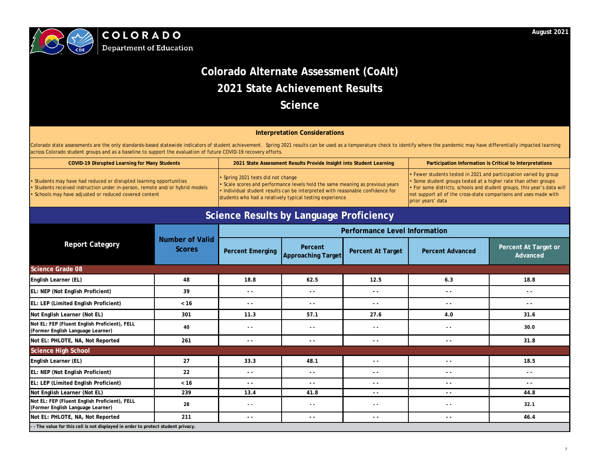

**Department of Education** 

|                                                                                    |                                         | <b>Performance Level Information</b> |                                          |                          |                         |                                          |  |
|------------------------------------------------------------------------------------|-----------------------------------------|--------------------------------------|------------------------------------------|--------------------------|-------------------------|------------------------------------------|--|
| <b>Report Category</b>                                                             | <b>Number of Valid</b><br><b>Scores</b> | <b>Percent Emerging</b>              | Percent<br><b>Approaching Target</b>     | <b>Percent At Target</b> | <b>Percent Advanced</b> | Percent At Target or<br>Advanced         |  |
| <b>Science Grade 08</b>                                                            |                                         |                                      |                                          |                          |                         |                                          |  |
| English Learner (EL)                                                               | 48                                      | 18.8                                 | 62.5                                     | 12.5                     | 6.3                     | 18.8                                     |  |
| EL: NEP (Not English Proficient)                                                   | 39                                      | $\sim$ $\sim$                        | $\frac{1}{2} \left( \frac{1}{2} \right)$ | $ -$                     | $ -$                    | $\frac{1}{2} \left( \frac{1}{2} \right)$ |  |
| EL: LEP (Limited English Proficient)                                               | $<16$                                   | $- -$                                | $- -$                                    | $ -$                     | $- -$                   | $ -$                                     |  |
| Not English Learner (Not EL)                                                       | 301                                     | 11.3                                 | 57.1                                     | 27.6                     | 4.0                     | 31.6                                     |  |
| Not EL: FEP (Fluent English Proficient), FELL<br>(Former English Language Learner) | 40                                      | $\sim$ $\sim$                        | $\sim$ $\sim$                            | $\sim$ $\sim$            | $\sim$ $\sim$           | 30.0                                     |  |
| Not EL: PHLOTE, NA, Not Reported                                                   | 261                                     | $- -$                                | $ -$                                     | $ -$                     | $- -$                   | 31.8                                     |  |
| <b>Science High School</b>                                                         |                                         |                                      |                                          |                          |                         |                                          |  |
| English Learner (EL)                                                               | 27                                      | 33.3                                 | 48.1                                     | $ -$                     | $\sim$ $\sim$           | 18.5                                     |  |
| EL: NEP (Not English Proficient)                                                   | 22                                      | $\sim$ $\sim$                        | $ -$                                     | $ -$                     | $\sim$ $\sim$           | $ -$                                     |  |
| EL: LEP (Limited English Proficient)                                               | $< 16$                                  | $\sim$ $\sim$                        | $ -$                                     | - -                      | $ -$                    | $ -$                                     |  |
| Not English Learner (Not EL)                                                       | 239                                     | 13.4                                 | 41.8                                     | $ -$                     | $\sim$ $\sim$           | 44.8                                     |  |
| Not EL: FEP (Fluent English Proficient), FELL<br>(Former English Language Learner) | 28                                      | $\sim$ $\sim$                        | $\sim$ $\sim$                            | $\sim$ $\sim$            | $\sim$ $\sim$           | 32.1                                     |  |
| Not EL: PHLOTE, NA, Not Reported                                                   | 211                                     | $- -$                                | $ -$                                     | $ -$                     | $- -$                   | 46.4                                     |  |
| - The value for this cell is not displayed in order to protect student privacy.    |                                         |                                      |                                          |                          |                         |                                          |  |

| <b>COVID-19 Disrupted Learning for Many Students</b>                                                                                                                                                          | 2021 State Assessment Results Provide Insight into Student Learning                                                                                                                                                                                                     |
|---------------------------------------------------------------------------------------------------------------------------------------------------------------------------------------------------------------|-------------------------------------------------------------------------------------------------------------------------------------------------------------------------------------------------------------------------------------------------------------------------|
| • Students may have had reduced or disrupted learning opportunities<br>• Students received instruction under in-person, remote and/or hybrid models<br>• Schools may have adjusted or reduced covered content | • Spring 2021 tests did not change<br>• Scale scores and performance levels hold the same meaning as previous years<br>$\cdot$ Individual student results can be interpreted with reasonable confidence for<br>students who had a relatively typical testing experience |

Colorado state assessments are the only standards-based statewide indicators of student achievement. Spring 2021 results can be used as a temperature check to identify where the pandemic may have differentially impacted le across Colorado student groups and as a baseline to support the evaluation of future COVID-19 recovery efforts.

### **Participation Information is Critical to Interpretations**

• Fewer students tested in 2021 and participation varied by group

• Some student groups tested at a higher rate than other groups

• For some districts, schools and student groups, this year's data will

not support all of the cross-state comparisons and uses made with prior years' data

## **Interpretation Considerations**

# **Science Results by Language Proficiency**

# **August 2021**

# **Colorado Alternate Assessment (CoAlt) 2021 State Achievement Results Science**